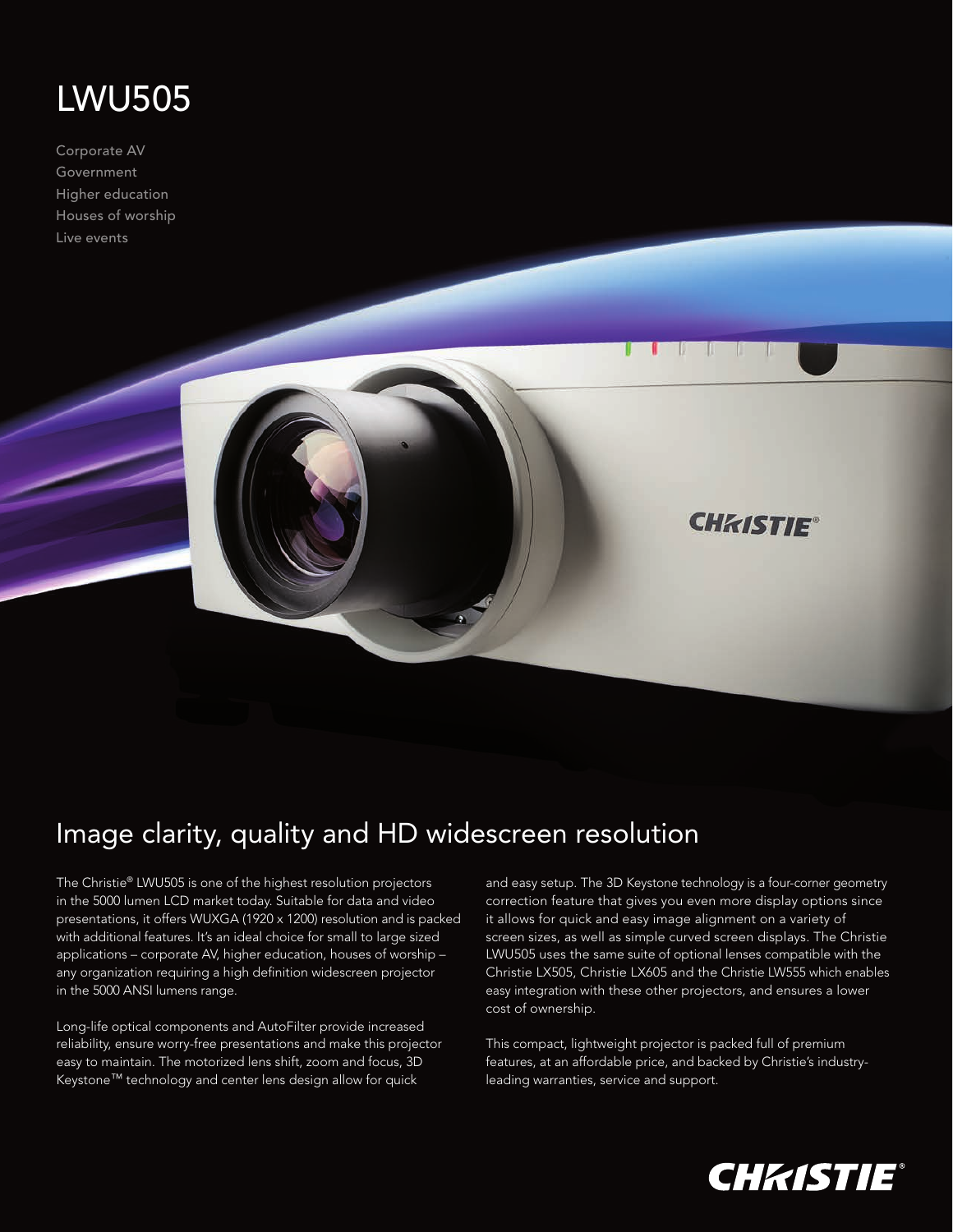## LWU505

Corporate AV Government Higher education Houses of worship Live events



## Image clarity, quality and HD widescreen resolution

The Christie® LWU505 is one of the highest resolution projectors in the 5000 lumen LCD market today. Suitable for data and video presentations, it offers WUXGA (1920 x 1200) resolution and is packed with additional features. It's an ideal choice for small to large sized applications – corporate AV, higher education, houses of worship – any organization requiring a high definition widescreen projector in the 5000 ANSI lumens range.

Long-life optical components and AutoFilter provide increased reliability, ensure worry-free presentations and make this projector easy to maintain. The motorized lens shift, zoom and focus, 3D Keystone™ technology and center lens design allow for quick

and easy setup. The 3D Keystone technology is a four-corner geometry correction feature that gives you even more display options since it allows for quick and easy image alignment on a variety of screen sizes, as well as simple curved screen displays. The Christie LWU505 uses the same suite of optional lenses compatible with the Christie LX505, Christie LX605 and the Christie LW555 which enables easy integration with these other projectors, and ensures a lower cost of ownership.

This compact, lightweight projector is packed full of premium features, at an affordable price, and backed by Christie's industryleading warranties, service and support.